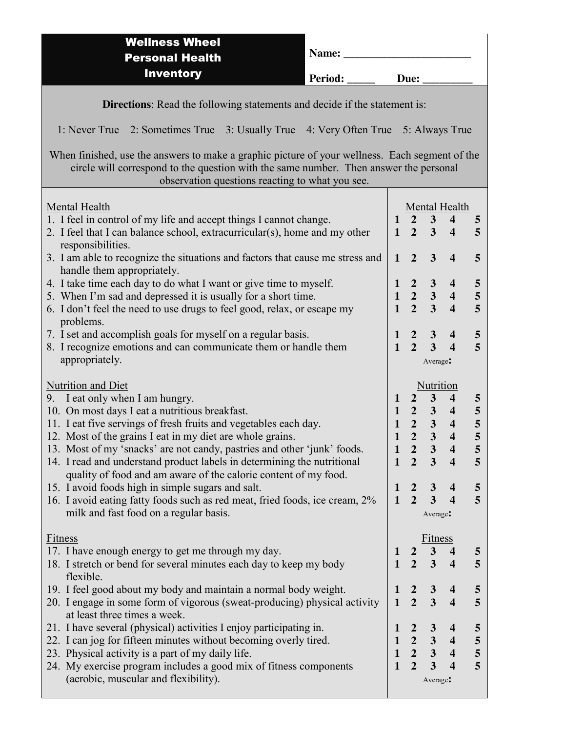| <b>Wellness Wheel</b><br>Name: _<br><b>Personal Health</b>                                                                                                                                                                                 |             |                                                                   |                                                         |                                                    |        |  |  |  |
|--------------------------------------------------------------------------------------------------------------------------------------------------------------------------------------------------------------------------------------------|-------------|-------------------------------------------------------------------|---------------------------------------------------------|----------------------------------------------------|--------|--|--|--|
| <b>Inventory</b>                                                                                                                                                                                                                           | Period: ___ | Due:                                                              |                                                         |                                                    |        |  |  |  |
| <b>Directions:</b> Read the following statements and decide if the statement is:                                                                                                                                                           |             |                                                                   |                                                         |                                                    |        |  |  |  |
| 1: Never True 2: Sometimes True 3: Usually True 4: Very Often True<br>5: Always True                                                                                                                                                       |             |                                                                   |                                                         |                                                    |        |  |  |  |
| When finished, use the answers to make a graphic picture of your wellness. Each segment of the<br>circle will correspond to the question with the same number. Then answer the personal<br>observation questions reacting to what you see. |             |                                                                   |                                                         |                                                    |        |  |  |  |
| <b>Mental Health</b>                                                                                                                                                                                                                       |             |                                                                   | <b>Mental Health</b>                                    |                                                    |        |  |  |  |
| 1. I feel in control of my life and accept things I cannot change.                                                                                                                                                                         |             | $1\quad 2$                                                        | $3^{\circ}$                                             | $\overline{\mathbf{4}}$                            | 5      |  |  |  |
| 2. I feel that I can balance school, extracurricular(s), home and my other<br>responsibilities.                                                                                                                                            |             | $1\quad 2$                                                        | 3 <sup>1</sup>                                          | $\overline{\mathbf{4}}$                            | 5      |  |  |  |
| 3. I am able to recognize the situations and factors that cause me stress and<br>handle them appropriately.                                                                                                                                |             | $\overline{2}$<br>$\mathbf{1}$                                    | $\overline{\mathbf{3}}$                                 | $\overline{\mathbf{4}}$                            | 5      |  |  |  |
| 4. I take time each day to do what I want or give time to myself.                                                                                                                                                                          |             | $\mathbf{1}$                                                      | $2^{\circ}$<br>$\mathbf{3}$                             | $\overline{\mathbf{4}}$                            | 5      |  |  |  |
| 5. When I'm sad and depressed it is usually for a short time.<br>6. I don't feel the need to use drugs to feel good, relax, or escape my                                                                                                   |             | $\mathbf{1}$<br>$\mathbf{1}$                                      | $2 \quad 3$<br>$2 \quad 3$                              | $\overline{\mathbf{4}}$<br>$\overline{\mathbf{4}}$ | 5<br>5 |  |  |  |
| problems.                                                                                                                                                                                                                                  |             |                                                                   |                                                         |                                                    |        |  |  |  |
| 7. I set and accomplish goals for myself on a regular basis.<br>8. I recognize emotions and can communicate them or handle them                                                                                                            |             | $\overline{2}$<br>$\mathbf 1$<br>$\overline{2}$<br>$\mathbf{1}$   | $\mathbf{3}$<br>$\overline{\mathbf{3}}$                 | $\overline{\mathbf{4}}$<br>$\overline{\mathbf{4}}$ | 5<br>5 |  |  |  |
| appropriately.                                                                                                                                                                                                                             |             |                                                                   | Average:                                                |                                                    |        |  |  |  |
| <b>Nutrition and Diet</b>                                                                                                                                                                                                                  |             |                                                                   | Nutrition                                               |                                                    |        |  |  |  |
| 9. I eat only when I am hungry.                                                                                                                                                                                                            |             | $\overline{2}$<br>$\mathbf 1$                                     | 3 <sup>7</sup>                                          | $\overline{\mathbf{4}}$                            | 5      |  |  |  |
| 10. On most days I eat a nutritious breakfast.                                                                                                                                                                                             |             | $\mathbf{1}$<br>$\mathbf{1}$                                      | $2 \quad 3 \quad 4$<br>$2 \quad 3$                      | $\overline{\mathbf{4}}$                            | 5<br>5 |  |  |  |
| 11. I eat five servings of fresh fruits and vegetables each day.<br>12. Most of the grains I eat in my diet are whole grains.                                                                                                              |             | $\overline{2}$                                                    | $\overline{3}$                                          | $\overline{\mathbf{4}}$                            | 5      |  |  |  |
| 13. Most of my 'snacks' are not candy, pastries and other 'junk' foods.                                                                                                                                                                    |             | $\boldsymbol{2}$<br>1                                             | $\mathbf{3}$                                            | $\overline{\mathbf{4}}$                            | 5      |  |  |  |
| 14. I read and understand product labels in determining the nutritional<br>quality of food and am aware of the calorie content of my food.                                                                                                 |             | $\overline{2}$<br>$\mathbf{1}$                                    | $\overline{\mathbf{3}}$                                 | $\overline{\mathbf{4}}$                            | 5      |  |  |  |
| 15. I avoid foods high in simple sugars and salt.                                                                                                                                                                                          |             | $\boldsymbol{2}$<br>1                                             | 3                                                       | 4                                                  | 5      |  |  |  |
| 16. I avoid eating fatty foods such as red meat, fried foods, ice cream, 2%<br>milk and fast food on a regular basis.                                                                                                                      |             | $\overline{2}$<br>$\mathbf{1}$                                    | $\overline{\mathbf{3}}$<br>Average:                     | $\overline{\mathbf{4}}$                            | 5      |  |  |  |
|                                                                                                                                                                                                                                            |             |                                                                   |                                                         |                                                    |        |  |  |  |
| <b>Fitness</b><br>17. I have enough energy to get me through my day.                                                                                                                                                                       |             | $\boldsymbol{2}$<br>1                                             | <b>Fitness</b><br>$\mathbf{3}$                          | $\overline{\mathbf{4}}$                            | 5      |  |  |  |
| 18. I stretch or bend for several minutes each day to keep my body                                                                                                                                                                         |             | $\overline{2}$<br>$\mathbf{1}$                                    | $\overline{\mathbf{3}}$                                 | $\overline{\mathbf{4}}$                            | 5      |  |  |  |
| flexible.                                                                                                                                                                                                                                  |             |                                                                   |                                                         |                                                    |        |  |  |  |
| 19. I feel good about my body and maintain a normal body weight.<br>20. I engage in some form of vigorous (sweat-producing) physical activity                                                                                              |             | $\boldsymbol{2}$<br>$\mathbf 1$<br>$\overline{2}$<br>$\mathbf{1}$ | $\mathbf{3}$<br>$\overline{\mathbf{3}}$                 | 4<br>$\overline{\mathbf{4}}$                       | 5<br>5 |  |  |  |
| at least three times a week.<br>21. I have several (physical) activities I enjoy participating in.                                                                                                                                         |             | $\boldsymbol{2}$<br>1                                             | $\mathbf{3}$                                            | $\overline{\mathbf{4}}$                            | 5      |  |  |  |
| 22. I can jog for fifteen minutes without becoming overly tired.                                                                                                                                                                           |             | $\overline{2}$<br>$\mathbf{1}$                                    | $\mathbf{3}$                                            | $\overline{\mathbf{4}}$                            | 5      |  |  |  |
| 23. Physical activity is a part of my daily life.<br>24. My exercise program includes a good mix of fitness components                                                                                                                     |             | $\mathbf{1}$<br>$\overline{2}$<br>$\mathbf{1}$                    | $\overline{\mathbf{2}}$<br>$\overline{\mathbf{3}}$<br>3 | $\overline{\mathbf{4}}$<br>$\overline{\mathbf{4}}$ | 5<br>5 |  |  |  |
| (aerobic, muscular and flexibility).                                                                                                                                                                                                       |             |                                                                   | Average:                                                |                                                    |        |  |  |  |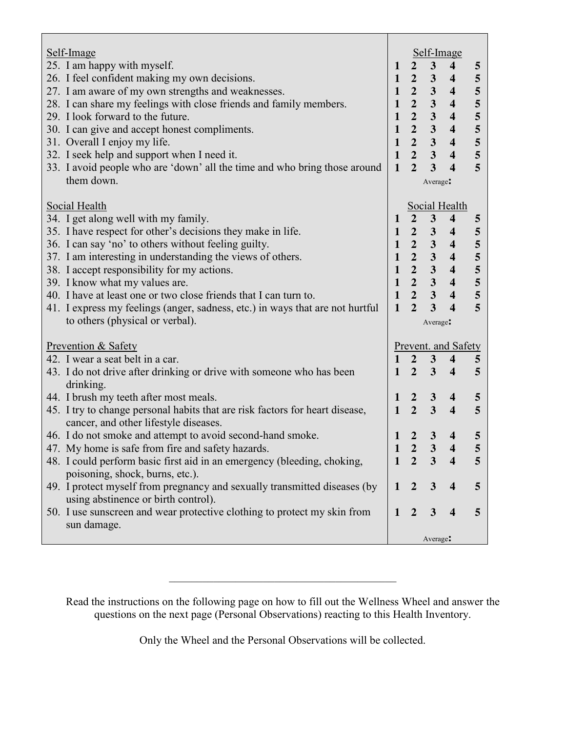| Self-Image<br>25. I am happy with myself.<br>26. I feel confident making my own decisions.<br>27. I am aware of my own strengths and weaknesses.<br>28. I can share my feelings with close friends and family members.<br>29. I look forward to the future.<br>30. I can give and accept honest compliments.<br>31. Overall I enjoy my life.<br>32. I seek help and support when I need it.<br>33. I avoid people who are 'down' all the time and who bring those around<br>them down. | $\mathbf{1}$<br>$\mathbf{1}$<br>$\mathbf{1}$<br>$\mathbf{1}$<br>$\mathbf{1}$<br>$\mathbf{1}$<br>$\mathbf{1}$<br>$\mathbf{1}$<br>$\mathbf{1}$ | 2 <sub>1</sub><br>$2^{\circ}$<br>2 <sup>7</sup><br>$\overline{2}$<br>$\overline{2}$<br>$\overline{\mathbf{2}}$<br>$2^{\circ}$<br>2 <sup>1</sup><br>$\overline{2}$ | 3 <sup>7</sup><br>3 <sup>7</sup><br>3 <sup>7</sup><br>$\mathbf{3}$<br>$\mathbf{3}$<br>$\overline{\mathbf{3}}$<br>3 <sup>7</sup><br>$\mathbf{3}$<br>$\overline{\mathbf{3}}$<br>Average: | Self-Image<br>$\overline{\mathbf{4}}$<br>$\overline{\mathbf{4}}$<br>$\overline{\mathbf{4}}$<br>$\overline{\mathbf{4}}$<br>$\overline{\mathbf{4}}$<br>$\overline{\mathbf{4}}$<br>$\overline{\mathbf{4}}$<br>$\overline{\mathbf{4}}$<br>$\overline{\mathbf{4}}$ | 5<br>${\bf 5}$<br>$\overline{\mathbf{5}}$<br>5<br>$\overline{\mathbf{5}}$<br>$\frac{5}{5}$<br>5<br>$\overline{5}$ |
|----------------------------------------------------------------------------------------------------------------------------------------------------------------------------------------------------------------------------------------------------------------------------------------------------------------------------------------------------------------------------------------------------------------------------------------------------------------------------------------|----------------------------------------------------------------------------------------------------------------------------------------------|-------------------------------------------------------------------------------------------------------------------------------------------------------------------|----------------------------------------------------------------------------------------------------------------------------------------------------------------------------------------|---------------------------------------------------------------------------------------------------------------------------------------------------------------------------------------------------------------------------------------------------------------|-------------------------------------------------------------------------------------------------------------------|
| Social Health                                                                                                                                                                                                                                                                                                                                                                                                                                                                          |                                                                                                                                              |                                                                                                                                                                   |                                                                                                                                                                                        | <b>Social Health</b>                                                                                                                                                                                                                                          |                                                                                                                   |
| 34. I get along well with my family.                                                                                                                                                                                                                                                                                                                                                                                                                                                   | 1                                                                                                                                            | $\overline{2}$                                                                                                                                                    | 3 <sup>7</sup>                                                                                                                                                                         | $\overline{\mathbf{4}}$                                                                                                                                                                                                                                       | $\overline{5}$                                                                                                    |
| 35. I have respect for other's decisions they make in life.                                                                                                                                                                                                                                                                                                                                                                                                                            | $\mathbf{1}$                                                                                                                                 | $2^{\circ}$                                                                                                                                                       | $3 \quad 4$                                                                                                                                                                            |                                                                                                                                                                                                                                                               | 5                                                                                                                 |
| 36. I can say 'no' to others without feeling guilty.                                                                                                                                                                                                                                                                                                                                                                                                                                   | $\mathbf{1}$                                                                                                                                 | $2^{\circ}$                                                                                                                                                       | $3\quad 4$                                                                                                                                                                             |                                                                                                                                                                                                                                                               |                                                                                                                   |
| 37. I am interesting in understanding the views of others.                                                                                                                                                                                                                                                                                                                                                                                                                             | $\mathbf{1}$                                                                                                                                 | $\overline{\mathbf{2}}$                                                                                                                                           | 3 <sup>7</sup>                                                                                                                                                                         | $\overline{\mathbf{4}}$                                                                                                                                                                                                                                       | $\frac{5}{5}$                                                                                                     |
| 38. I accept responsibility for my actions.                                                                                                                                                                                                                                                                                                                                                                                                                                            | $\mathbf{1}$                                                                                                                                 | $\overline{\mathbf{2}}$                                                                                                                                           | 3 <sup>7</sup>                                                                                                                                                                         | $\overline{\mathbf{4}}$                                                                                                                                                                                                                                       |                                                                                                                   |
| 39. I know what my values are.                                                                                                                                                                                                                                                                                                                                                                                                                                                         | $\mathbf{1}$                                                                                                                                 | $2^{\circ}$                                                                                                                                                       | $\mathbf{3}$                                                                                                                                                                           | $\overline{\mathbf{4}}$                                                                                                                                                                                                                                       | $\overline{\mathbf{5}}$                                                                                           |
| 40. I have at least one or two close friends that I can turn to.                                                                                                                                                                                                                                                                                                                                                                                                                       | $\mathbf{1}$                                                                                                                                 | $\overline{2}$                                                                                                                                                    | $\overline{\mathbf{3}}$                                                                                                                                                                | $\overline{\mathbf{4}}$                                                                                                                                                                                                                                       | $\frac{5}{5}$                                                                                                     |
| 41. I express my feelings (anger, sadness, etc.) in ways that are not hurtful                                                                                                                                                                                                                                                                                                                                                                                                          | $\mathbf{1}$                                                                                                                                 | $\overline{2}$                                                                                                                                                    | $\overline{\mathbf{3}}$                                                                                                                                                                | $\overline{\mathbf{4}}$                                                                                                                                                                                                                                       |                                                                                                                   |
| to others (physical or verbal).                                                                                                                                                                                                                                                                                                                                                                                                                                                        |                                                                                                                                              | Average:                                                                                                                                                          |                                                                                                                                                                                        |                                                                                                                                                                                                                                                               |                                                                                                                   |
| Prevention & Safety                                                                                                                                                                                                                                                                                                                                                                                                                                                                    |                                                                                                                                              |                                                                                                                                                                   |                                                                                                                                                                                        | Prevent. and Safety                                                                                                                                                                                                                                           |                                                                                                                   |
| 42. I wear a seat belt in a car.                                                                                                                                                                                                                                                                                                                                                                                                                                                       | $\mathbf{1}$                                                                                                                                 | $\overline{2}$                                                                                                                                                    | $\mathbf{3}$                                                                                                                                                                           | $\overline{\mathbf{4}}$                                                                                                                                                                                                                                       | $\overline{5}$                                                                                                    |
| 43. I do not drive after drinking or drive with someone who has been                                                                                                                                                                                                                                                                                                                                                                                                                   |                                                                                                                                              | $\overline{2}$                                                                                                                                                    | $\mathbf{3}$                                                                                                                                                                           | $\overline{\mathbf{4}}$                                                                                                                                                                                                                                       | 5                                                                                                                 |
| drinking.                                                                                                                                                                                                                                                                                                                                                                                                                                                                              |                                                                                                                                              |                                                                                                                                                                   |                                                                                                                                                                                        |                                                                                                                                                                                                                                                               |                                                                                                                   |
| 44. I brush my teeth after most meals.                                                                                                                                                                                                                                                                                                                                                                                                                                                 | $\mathbf{1}$<br>$\mathbf{1}$                                                                                                                 | $\overline{2}$                                                                                                                                                    | $\mathbf{3}$                                                                                                                                                                           | $\overline{\mathbf{4}}$                                                                                                                                                                                                                                       | 5                                                                                                                 |
| 45. I try to change personal habits that are risk factors for heart disease,<br>cancer, and other lifestyle diseases.                                                                                                                                                                                                                                                                                                                                                                  |                                                                                                                                              | $\overline{2}$                                                                                                                                                    | $\mathbf{3}$                                                                                                                                                                           | $\overline{\mathbf{4}}$                                                                                                                                                                                                                                       | 5                                                                                                                 |
| 46. I do not smoke and attempt to avoid second-hand smoke.                                                                                                                                                                                                                                                                                                                                                                                                                             | 1                                                                                                                                            | $\overline{2}$                                                                                                                                                    | 3                                                                                                                                                                                      | 4                                                                                                                                                                                                                                                             | 5                                                                                                                 |
| 47. My home is safe from fire and safety hazards.                                                                                                                                                                                                                                                                                                                                                                                                                                      | $\mathbf{1}$                                                                                                                                 | $\boldsymbol{2}$                                                                                                                                                  | 3                                                                                                                                                                                      | $\boldsymbol{\Lambda}$                                                                                                                                                                                                                                        | 5                                                                                                                 |
| 48. I could perform basic first aid in an emergency (bleeding, choking,                                                                                                                                                                                                                                                                                                                                                                                                                |                                                                                                                                              | $1\quad 2$                                                                                                                                                        | $\overline{\mathbf{3}}$                                                                                                                                                                | 4                                                                                                                                                                                                                                                             | $5\overline{5}$                                                                                                   |
| poisoning, shock, burns, etc.).                                                                                                                                                                                                                                                                                                                                                                                                                                                        |                                                                                                                                              |                                                                                                                                                                   |                                                                                                                                                                                        |                                                                                                                                                                                                                                                               |                                                                                                                   |
| 49. I protect myself from pregnancy and sexually transmitted diseases (by                                                                                                                                                                                                                                                                                                                                                                                                              | $\mathbf{1}$                                                                                                                                 | $\overline{2}$                                                                                                                                                    | $\mathbf{3}$                                                                                                                                                                           | $\overline{\mathbf{4}}$                                                                                                                                                                                                                                       | $5\phantom{.0}$                                                                                                   |
| using abstinence or birth control).                                                                                                                                                                                                                                                                                                                                                                                                                                                    |                                                                                                                                              |                                                                                                                                                                   |                                                                                                                                                                                        |                                                                                                                                                                                                                                                               |                                                                                                                   |
| 50. I use sunscreen and wear protective clothing to protect my skin from                                                                                                                                                                                                                                                                                                                                                                                                               |                                                                                                                                              | $1\quad 2$                                                                                                                                                        | $\mathbf{3}$                                                                                                                                                                           | 4                                                                                                                                                                                                                                                             | $5\overline{)}$                                                                                                   |
| sun damage.                                                                                                                                                                                                                                                                                                                                                                                                                                                                            |                                                                                                                                              |                                                                                                                                                                   |                                                                                                                                                                                        |                                                                                                                                                                                                                                                               |                                                                                                                   |
|                                                                                                                                                                                                                                                                                                                                                                                                                                                                                        | Average:                                                                                                                                     |                                                                                                                                                                   |                                                                                                                                                                                        |                                                                                                                                                                                                                                                               |                                                                                                                   |

Read the instructions on the following page on how to fill out the Wellness Wheel and answer the questions on the next page (Personal Observations) reacting to this Health Inventory.

 $\mathcal{L}_\text{max}$  , and the set of the set of the set of the set of the set of the set of the set of the set of the set of the set of the set of the set of the set of the set of the set of the set of the set of the set of the

Only the Wheel and the Personal Observations will be collected.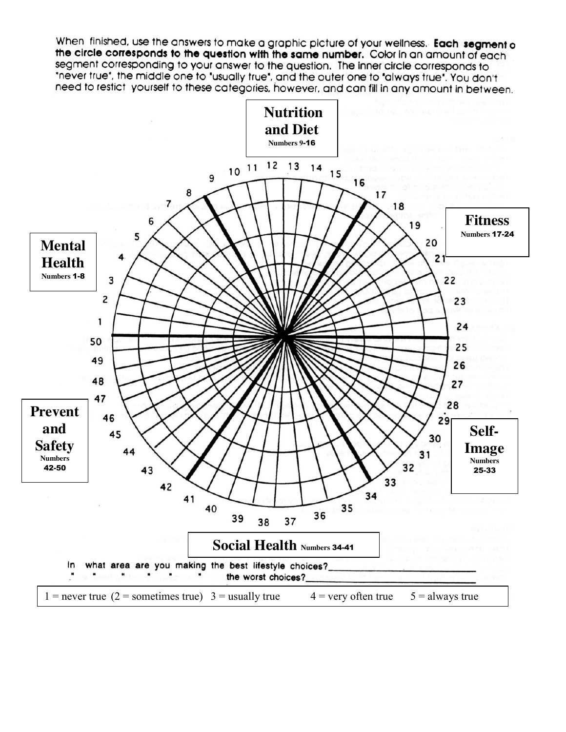When finished, use the answers to make a graphic picture of your wellness. Each segment o the circle corresponds to the question with the same number. Color in an amount of each segment corresponding to your answer to the question. The inner circle corresponds to "never true", the middle one to "usually true", and the outer one to "always true". You don't need to restict yourself to these categories, however, and can fill in any amount in between.